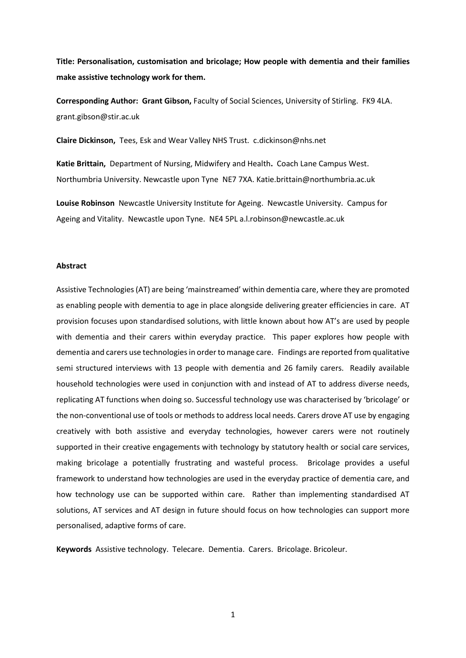**Title: Personalisation, customisation and bricolage; How people with dementia and their families make assistive technology work for them.**

**Corresponding Author:****Grant Gibson,** Faculty of Social Sciences, University of Stirling. FK9 4LA. grant.gibson@stir.ac.uk

**Claire Dickinson,** Tees, Esk and Wear Valley NHS Trust.c.dickinson@nhs.net

**Katie Brittain,** Department of Nursing, Midwifery and Health**.** Coach Lane Campus West. Northumbria University. Newcastle upon Tyne NE7 7XA. Katie.brittain@northumbria.ac.uk

**Louise Robinson** Newcastle University Institute for Ageing. Newcastle University. Campus for Ageing and Vitality. Newcastle upon Tyne. NE4 5PL a.l.robinson@newcastle.ac.uk

## **Abstract**

Assistive Technologies (AT) are being 'mainstreamed' within dementia care, where they are promoted as enabling people with dementia to age in place alongside delivering greater efficiencies in care. AT provision focuses upon standardised solutions, with little known about how AT's are used by people with dementia and their carers within everyday practice. This paper explores how people with dementia and carers use technologiesin order to manage care. Findings are reported from qualitative semi structured interviews with 13 people with dementia and 26 family carers. Readily available household technologies were used in conjunction with and instead of AT to address diverse needs, replicating AT functions when doing so. Successful technology use was characterised by 'bricolage' or the non-conventional use of tools or methods to address local needs. Carers drove AT use by engaging creatively with both assistive and everyday technologies, however carers were not routinely supported in their creative engagements with technology by statutory health or social care services, making bricolage a potentially frustrating and wasteful process. Bricolage provides a useful framework to understand how technologies are used in the everyday practice of dementia care, and how technology use can be supported within care. Rather than implementing standardised AT solutions, AT services and AT design in future should focus on how technologies can support more personalised, adaptive forms of care.

**Keywords** Assistive technology. Telecare. Dementia. Carers. Bricolage. Bricoleur.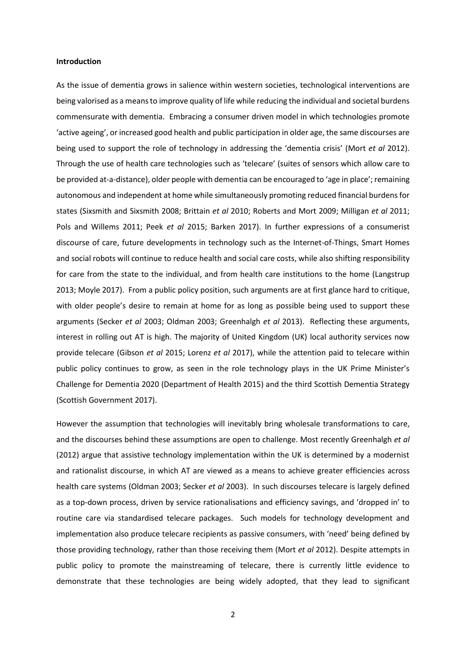### **Introduction**

As the issue of dementia grows in salience within western societies, technological interventions are being valorised as a means to improve quality of life while reducing the individual and societal burdens commensurate with dementia. Embracing a consumer driven model in which technologies promote 'active ageing', or increased good health and public participation in older age, the same discourses are being used to support the role of technology in addressing the 'dementia crisis' (Mort *et al* 2012). Through the use of health care technologies such as 'telecare' (suites of sensors which allow care to be provided at-a-distance), older people with dementia can be encouraged to 'age in place'; remaining autonomous and independent at home while simultaneously promoting reduced financial burdens for states (Sixsmith and Sixsmith 2008; Brittain *et al* 2010; Roberts and Mort 2009; Milligan *et al* 2011; Pols and Willems 2011; Peek *et al* 2015; Barken 2017). In further expressions of a consumerist discourse of care, future developments in technology such as the Internet-of-Things, Smart Homes and social robots will continue to reduce health and social care costs, while also shifting responsibility for care from the state to the individual, and from health care institutions to the home (Langstrup 2013; Moyle 2017). From a public policy position, such arguments are at first glance hard to critique, with older people's desire to remain at home for as long as possible being used to support these arguments (Secker *et al* 2003; Oldman 2003; Greenhalgh *et al* 2013). Reflecting these arguments, interest in rolling out AT is high. The majority of United Kingdom (UK) local authority services now provide telecare (Gibson *et al* 2015; Lorenz *et al* 2017), while the attention paid to telecare within public policy continues to grow, as seen in the role technology plays in the UK Prime Minister's Challenge for Dementia 2020 (Department of Health 2015) and the third Scottish Dementia Strategy (Scottish Government 2017).

However the assumption that technologies will inevitably bring wholesale transformations to care, and the discourses behind these assumptions are open to challenge. Most recently Greenhalgh *et al* (2012) argue that assistive technology implementation within the UK is determined by a modernist and rationalist discourse, in which AT are viewed as a means to achieve greater efficiencies across health care systems (Oldman 2003; Secker *et al* 2003). In such discourses telecare is largely defined as a top-down process, driven by service rationalisations and efficiency savings, and 'dropped in' to routine care via standardised telecare packages. Such models for technology development and implementation also produce telecare recipients as passive consumers, with 'need' being defined by those providing technology, rather than those receiving them (Mort *et al* 2012). Despite attempts in public policy to promote the mainstreaming of telecare, there is currently little evidence to demonstrate that these technologies are being widely adopted, that they lead to significant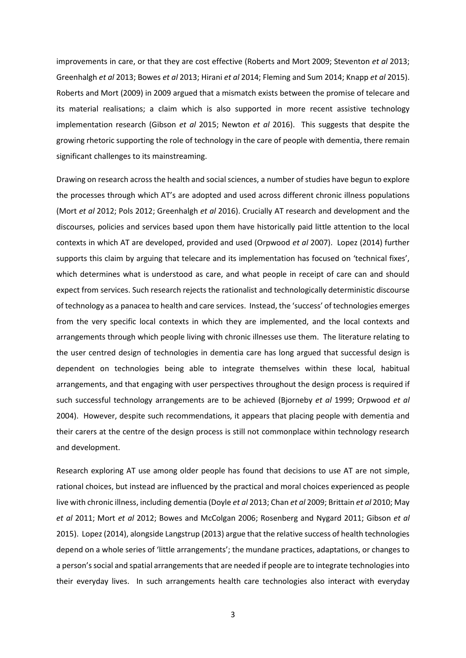improvements in care, or that they are cost effective (Roberts and Mort 2009; Steventon *et al* 2013; Greenhalgh *et al* 2013; Bowes *et al* 2013; Hirani *et al* 2014; Fleming and Sum 2014; Knapp *et al* 2015). Roberts and Mort (2009) in 2009 argued that a mismatch exists between the promise of telecare and its material realisations; a claim which is also supported in more recent assistive technology implementation research (Gibson *et al* 2015; Newton *et al* 2016). This suggests that despite the growing rhetoric supporting the role of technology in the care of people with dementia, there remain significant challenges to its mainstreaming.

Drawing on research across the health and social sciences, a number of studies have begun to explore the processes through which AT's are adopted and used across different chronic illness populations (Mort *et al* 2012; Pols 2012; Greenhalgh *et al* 2016). Crucially AT research and development and the discourses, policies and services based upon them have historically paid little attention to the local contexts in which AT are developed, provided and used (Orpwood *et al* 2007). Lopez (2014) further supports this claim by arguing that telecare and its implementation has focused on 'technical fixes', which determines what is understood as care, and what people in receipt of care can and should expect from services. Such research rejects the rationalist and technologically deterministic discourse of technology as a panacea to health and care services. Instead, the 'success' of technologies emerges from the very specific local contexts in which they are implemented, and the local contexts and arrangements through which people living with chronic illnesses use them. The literature relating to the user centred design of technologies in dementia care has long argued that successful design is dependent on technologies being able to integrate themselves within these local, habitual arrangements, and that engaging with user perspectives throughout the design process is required if such successful technology arrangements are to be achieved (Bjorneby *et al* 1999; Orpwood *et al* 2004). However, despite such recommendations, it appears that placing people with dementia and their carers at the centre of the design process is still not commonplace within technology research and development.

Research exploring AT use among older people has found that decisions to use AT are not simple, rational choices, but instead are influenced by the practical and moral choices experienced as people live with chronic illness, including dementia (Doyle *et al* 2013; Chan *et al* 2009; Brittain *et al* 2010; May *et al* 2011; Mort *et al* 2012; Bowes and McColgan 2006; Rosenberg and Nygard 2011; Gibson *et al* 2015). Lopez (2014), alongside Langstrup (2013) argue that the relative success of health technologies depend on a whole series of 'little arrangements'; the mundane practices, adaptations, or changes to a person's social and spatial arrangements that are needed if people are to integrate technologies into their everyday lives. In such arrangements health care technologies also interact with everyday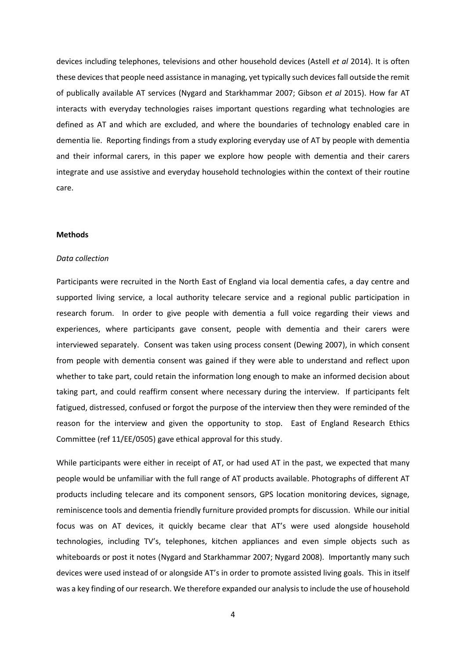devices including telephones, televisions and other household devices (Astell *et al* 2014). It is often these devices that people need assistance in managing, yet typically such devices fall outside the remit of publically available AT services (Nygard and Starkhammar 2007; Gibson *et al* 2015). How far AT interacts with everyday technologies raises important questions regarding what technologies are defined as AT and which are excluded, and where the boundaries of technology enabled care in dementia lie. Reporting findings from a study exploring everyday use of AT by people with dementia and their informal carers, in this paper we explore how people with dementia and their carers integrate and use assistive and everyday household technologies within the context of their routine care.

### **Methods**

#### *Data collection*

Participants were recruited in the North East of England via local dementia cafes, a day centre and supported living service, a local authority telecare service and a regional public participation in research forum. In order to give people with dementia a full voice regarding their views and experiences, where participants gave consent, people with dementia and their carers were interviewed separately. Consent was taken using process consent (Dewing 2007), in which consent from people with dementia consent was gained if they were able to understand and reflect upon whether to take part, could retain the information long enough to make an informed decision about taking part, and could reaffirm consent where necessary during the interview. If participants felt fatigued, distressed, confused or forgot the purpose of the interview then they were reminded of the reason for the interview and given the opportunity to stop. East of England Research Ethics Committee (ref 11/EE/0505) gave ethical approval for this study.

While participants were either in receipt of AT, or had used AT in the past, we expected that many people would be unfamiliar with the full range of AT products available. Photographs of different AT products including telecare and its component sensors, GPS location monitoring devices, signage, reminiscence tools and dementia friendly furniture provided prompts for discussion. While our initial focus was on AT devices, it quickly became clear that AT's were used alongside household technologies, including TV's, telephones, kitchen appliances and even simple objects such as whiteboards or post it notes (Nygard and Starkhammar 2007; Nygard 2008). Importantly many such devices were used instead of or alongside AT's in order to promote assisted living goals. This in itself was a key finding of our research. We therefore expanded our analysisto include the use of household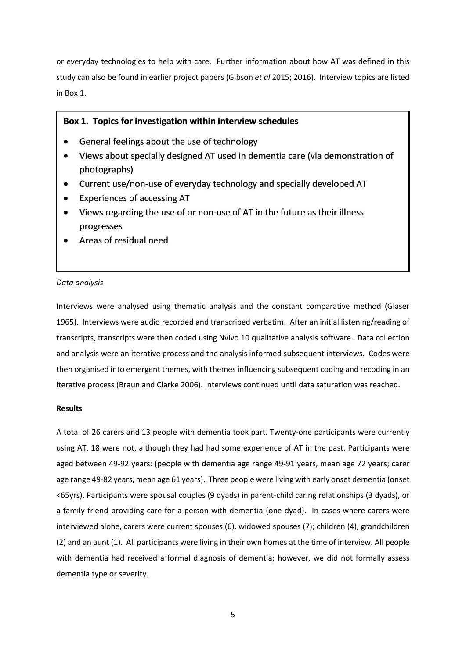or everyday technologies to help with care. Further information about how AT was defined in this study can also be found in earlier project papers (Gibson *et al* 2015; 2016). Interview topics are listed in Box 1.

## Box 1. Topics for investigation within interview schedules

- General feelings about the use of technology
- Views about specially designed AT used in dementia care (via demonstration of  $\bullet$ photographs)
- Current use/non-use of everyday technology and specially developed AT
- **Experiences of accessing AT**
- Views regarding the use of or non-use of AT in the future as their illness progresses
- Areas of residual need

# *Data analysis*

Interviews were analysed using thematic analysis and the constant comparative method (Glaser 1965). Interviews were audio recorded and transcribed verbatim. After an initial listening/reading of transcripts, transcripts were then coded using Nvivo 10 qualitative analysis software. Data collection and analysis were an iterative process and the analysis informed subsequent interviews. Codes were then organised into emergent themes, with themes influencing subsequent coding and recoding in an iterative process (Braun and Clarke 2006). Interviews continued until data saturation was reached.

## **Results**

A total of 26 carers and 13 people with dementia took part. Twenty-one participants were currently using AT, 18 were not, although they had had some experience of AT in the past. Participants were aged between 49-92 years: (people with dementia age range 49-91 years, mean age 72 years; carer age range 49-82 years, mean age 61 years). Three people were living with early onset dementia (onset <65yrs). Participants were spousal couples (9 dyads) in parent-child caring relationships (3 dyads), or a family friend providing care for a person with dementia (one dyad). In cases where carers were interviewed alone, carers were current spouses (6), widowed spouses (7); children (4), grandchildren (2) and an aunt (1). All participants were living in their own homes at the time of interview. All people with dementia had received a formal diagnosis of dementia; however, we did not formally assess dementia type or severity.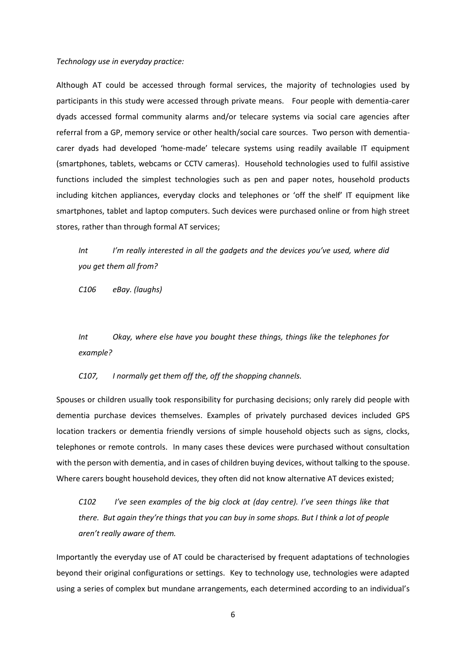### *Technology use in everyday practice:*

Although AT could be accessed through formal services, the majority of technologies used by participants in this study were accessed through private means. Four people with dementia-carer dyads accessed formal community alarms and/or telecare systems via social care agencies after referral from a GP, memory service or other health/social care sources. Two person with dementiacarer dyads had developed 'home-made' telecare systems using readily available IT equipment (smartphones, tablets, webcams or CCTV cameras). Household technologies used to fulfil assistive functions included the simplest technologies such as pen and paper notes, household products including kitchen appliances, everyday clocks and telephones or 'off the shelf' IT equipment like smartphones, tablet and laptop computers. Such devices were purchased online or from high street stores, rather than through formal AT services;

*Int I'm really interested in all the gadgets and the devices you've used, where did you get them all from?*

*C106 eBay. (laughs)*

*Int Okay, where else have you bought these things, things like the telephones for example?*

*C107, I normally get them off the, off the shopping channels.*

Spouses or children usually took responsibility for purchasing decisions; only rarely did people with dementia purchase devices themselves. Examples of privately purchased devices included GPS location trackers or dementia friendly versions of simple household objects such as signs, clocks, telephones or remote controls. In many cases these devices were purchased without consultation with the person with dementia, and in cases of children buying devices, without talking to the spouse. Where carers bought household devices, they often did not know alternative AT devices existed;

*C102 I've seen examples of the big clock at (day centre). I've seen things like that there. But again they're things that you can buy in some shops. But I think a lot of people aren't really aware of them.*

Importantly the everyday use of AT could be characterised by frequent adaptations of technologies beyond their original configurations or settings. Key to technology use, technologies were adapted using a series of complex but mundane arrangements, each determined according to an individual's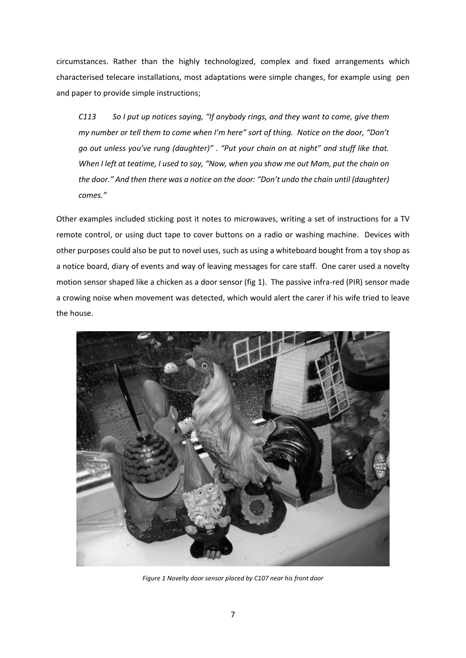circumstances. Rather than the highly technologized, complex and fixed arrangements which characterised telecare installations, most adaptations were simple changes, for example using pen and paper to provide simple instructions;

*C113 So I put up notices saying, "If anybody rings, and they want to come, give them my number or tell them to come when I'm here" sort of thing. Notice on the door, "Don't go out unless you've rung (daughter)" . "Put your chain on at night" and stuff like that. When I left at teatime, I used to say, "Now, when you show me out Mam, put the chain on the door."* And then there was a notice on the door: "Don't undo the chain until (daughter) *comes."*

Other examples included sticking post it notes to microwaves, writing a set of instructions for a TV remote control, or using duct tape to cover buttons on a radio or washing machine. Devices with other purposes could also be put to novel uses, such as using a whiteboard bought from a toy shop as a notice board, diary of events and way of leaving messages for care staff. One carer used a novelty motion sensor shaped like a chicken as a door sensor (fig 1). The passive infra-red (PIR) sensor made a crowing noise when movement was detected, which would alert the carer if his wife tried to leave the house.



*Figure 1 Novelty door sensor placed by C107 near his front door*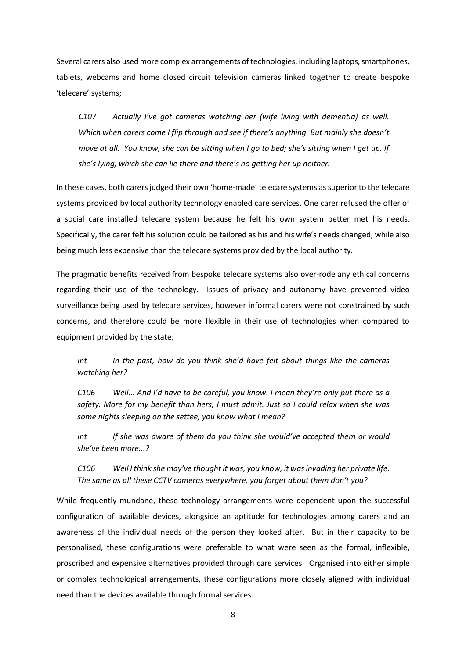Several carers also used more complex arrangements of technologies, including laptops, smartphones, tablets, webcams and home closed circuit television cameras linked together to create bespoke 'telecare' systems;

*C107 Actually I've got cameras watching her (wife living with dementia) as well. Which when carers come I flip through and see if there's anything. But mainly she doesn't move at all. You know, she can be sitting when I go to bed; she's sitting when I get up. If she's lying, which she can lie there and there's no getting her up neither.*

In these cases, both carers judged their own 'home-made' telecare systems assuperior to the telecare systems provided by local authority technology enabled care services. One carer refused the offer of a social care installed telecare system because he felt his own system better met his needs. Specifically, the carer felt his solution could be tailored as his and his wife's needs changed, while also being much less expensive than the telecare systems provided by the local authority.

The pragmatic benefits received from bespoke telecare systems also over-rode any ethical concerns regarding their use of the technology. Issues of privacy and autonomy have prevented video surveillance being used by telecare services, however informal carers were not constrained by such concerns, and therefore could be more flexible in their use of technologies when compared to equipment provided by the state;

*Int In the past, how do you think she'd have felt about things like the cameras watching her?*

*C106 Well... And I'd have to be careful, you know. I mean they're only put there as a safety. More for my benefit than hers, I must admit. Just so I could relax when she was some nights sleeping on the settee, you know what I mean?* 

*Int If she was aware of them do you think she would've accepted them or would she've been more...?*

*C106 Well I think she may've thought it was, you know, it was invading her private life. The same as all these CCTV cameras everywhere, you forget about them don't you?*

While frequently mundane, these technology arrangements were dependent upon the successful configuration of available devices, alongside an aptitude for technologies among carers and an awareness of the individual needs of the person they looked after. But in their capacity to be personalised, these configurations were preferable to what were seen as the formal, inflexible, proscribed and expensive alternatives provided through care services. Organised into either simple or complex technological arrangements, these configurations more closely aligned with individual need than the devices available through formal services.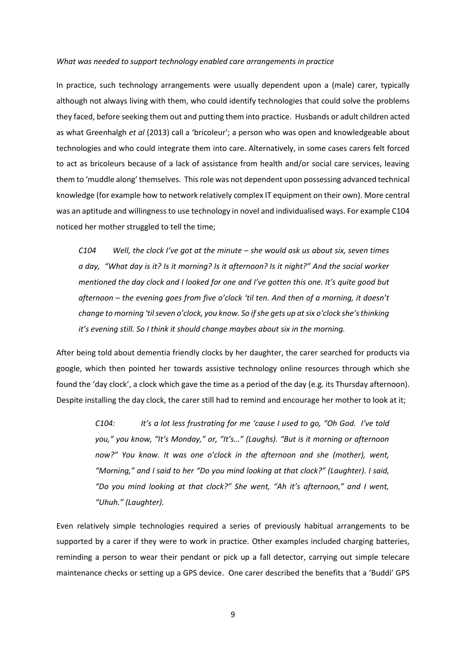#### *What was needed to support technology enabled care arrangements in practice*

In practice, such technology arrangements were usually dependent upon a (male) carer, typically although not always living with them, who could identify technologies that could solve the problems they faced, before seeking them out and putting them into practice. Husbands or adult children acted as what Greenhalgh *et al* (2013) call a 'bricoleur'; a person who was open and knowledgeable about technologies and who could integrate them into care. Alternatively, in some cases carers felt forced to act as bricoleurs because of a lack of assistance from health and/or social care services, leaving them to 'muddle along' themselves. Thisrole was not dependent upon possessing advanced technical knowledge (for example how to network relatively complex IT equipment on their own). More central was an aptitude and willingness to use technology in novel and individualised ways. For example C104 noticed her mother struggled to tell the time;

*C104 Well, the clock I've got at the minute – she would ask us about six, seven times a day, "What day is it? Is it morning? Is it afternoon? Is it night?" And the social worker mentioned the day clock and I looked for one and I've gotten this one. It's quite good but afternoon – the evening goes from five o'clock 'til ten. And then of a morning, it doesn't change to morning 'til seven o'clock, you know. So ifshe gets up at six o'clock she's thinking it's evening still. So I think it should change maybes about six in the morning.* 

After being told about dementia friendly clocks by her daughter, the carer searched for products via google, which then pointed her towards assistive technology online resources through which she found the 'day clock', a clock which gave the time as a period of the day (e.g. its Thursday afternoon). Despite installing the day clock, the carer still had to remind and encourage her mother to look at it;

> *C104: It's a lot less frustrating for me 'cause I used to go, "Oh God. I've told you," you know, "It's Monday," or, "It's…" (Laughs). "But is it morning or afternoon now?" You know. It was one o'clock in the afternoon and she (mother), went, "Morning," and I said to her "Do you mind looking at that clock?" (Laughter). I said, "Do you mind looking at that clock?" She went, "Ah it's afternoon," and I went, "Uhuh." (Laughter).*

Even relatively simple technologies required a series of previously habitual arrangements to be supported by a carer if they were to work in practice. Other examples included charging batteries, reminding a person to wear their pendant or pick up a fall detector, carrying out simple telecare maintenance checks or setting up a GPS device. One carer described the benefits that a 'Buddi' GPS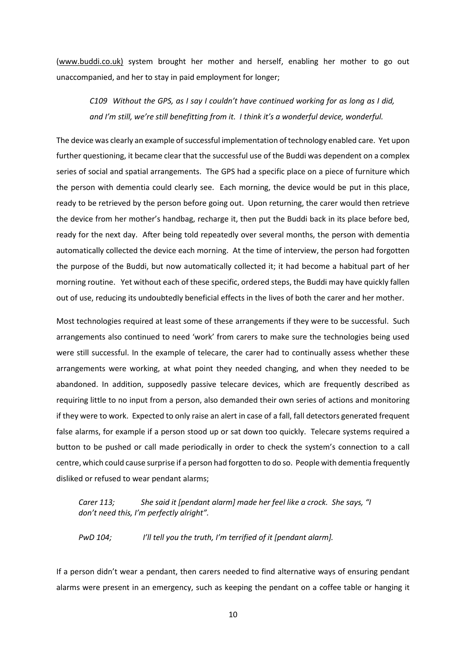[\(www.buddi.co.uk\)](http://www.buddi.co.uk)/) system brought her mother and herself, enabling her mother to go out unaccompanied, and her to stay in paid employment for longer;

*C109 Without the GPS, as I say I couldn't have continued working for as long as I did, and I'm still, we're still benefitting from it. I think it's a wonderful device, wonderful.*

The device was clearly an example of successful implementation of technology enabled care. Yet upon further questioning, it became clear that the successful use of the Buddi was dependent on a complex series of social and spatial arrangements. The GPS had a specific place on a piece of furniture which the person with dementia could clearly see. Each morning, the device would be put in this place, ready to be retrieved by the person before going out. Upon returning, the carer would then retrieve the device from her mother's handbag, recharge it, then put the Buddi back in its place before bed, ready for the next day. After being told repeatedly over several months, the person with dementia automatically collected the device each morning. At the time of interview, the person had forgotten the purpose of the Buddi, but now automatically collected it; it had become a habitual part of her morning routine. Yet without each of these specific, ordered steps, the Buddi may have quickly fallen out of use, reducing its undoubtedly beneficial effects in the lives of both the carer and her mother.

Most technologies required at least some of these arrangements if they were to be successful. Such arrangements also continued to need 'work' from carers to make sure the technologies being used were still successful. In the example of telecare, the carer had to continually assess whether these arrangements were working, at what point they needed changing, and when they needed to be abandoned. In addition, supposedly passive telecare devices, which are frequently described as requiring little to no input from a person, also demanded their own series of actions and monitoring if they were to work. Expected to only raise an alert in case of a fall, fall detectors generated frequent false alarms, for example if a person stood up or sat down too quickly. Telecare systems required a button to be pushed or call made periodically in order to check the system's connection to a call centre, which could cause surprise if a person had forgotten to do so. People with dementia frequently disliked or refused to wear pendant alarms;

# *Carer 113; She said it [pendant alarm] made her feel like a crock. She says, "I don't need this, I'm perfectly alright".*

*PwD 104; I'll tell you the truth, I'm terrified of it [pendant alarm].*

If a person didn't wear a pendant, then carers needed to find alternative ways of ensuring pendant alarms were present in an emergency, such as keeping the pendant on a coffee table or hanging it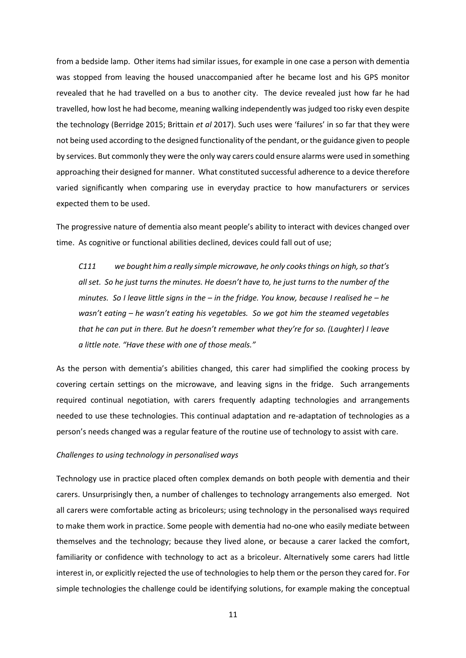from a bedside lamp. Other items had similar issues, for example in one case a person with dementia was stopped from leaving the housed unaccompanied after he became lost and his GPS monitor revealed that he had travelled on a bus to another city. The device revealed just how far he had travelled, how lost he had become, meaning walking independently was judged too risky even despite the technology (Berridge 2015; Brittain *et al* 2017). Such uses were 'failures' in so far that they were not being used according to the designed functionality of the pendant, or the guidance given to people by services. But commonly they were the only way carers could ensure alarms were used in something approaching their designed for manner. What constituted successful adherence to a device therefore varied significantly when comparing use in everyday practice to how manufacturers or services expected them to be used.

The progressive nature of dementia also meant people's ability to interact with devices changed over time. As cognitive or functional abilities declined, devices could fall out of use;

*C111 we bought him a really simple microwave, he only cooks things on high, so that's all set. So he just turns the minutes. He doesn't have to, he just turns to the number of the minutes. So I leave little signs in the – in the fridge. You know, because I realised he – he wasn't eating – he wasn't eating his vegetables. So we got him the steamed vegetables that he can put in there. But he doesn't remember what they're for so. (Laughter) I leave a little note. "Have these with one of those meals."*

As the person with dementia's abilities changed, this carer had simplified the cooking process by covering certain settings on the microwave, and leaving signs in the fridge. Such arrangements required continual negotiation, with carers frequently adapting technologies and arrangements needed to use these technologies. This continual adaptation and re-adaptation of technologies as a person's needs changed was a regular feature of the routine use of technology to assist with care.

## *Challenges to using technology in personalised ways*

Technology use in practice placed often complex demands on both people with dementia and their carers. Unsurprisingly then, a number of challenges to technology arrangements also emerged. Not all carers were comfortable acting as bricoleurs; using technology in the personalised ways required to make them work in practice. Some people with dementia had no-one who easily mediate between themselves and the technology; because they lived alone, or because a carer lacked the comfort, familiarity or confidence with technology to act as a bricoleur. Alternatively some carers had little interest in, or explicitly rejected the use of technologies to help them or the person they cared for. For simple technologies the challenge could be identifying solutions, for example making the conceptual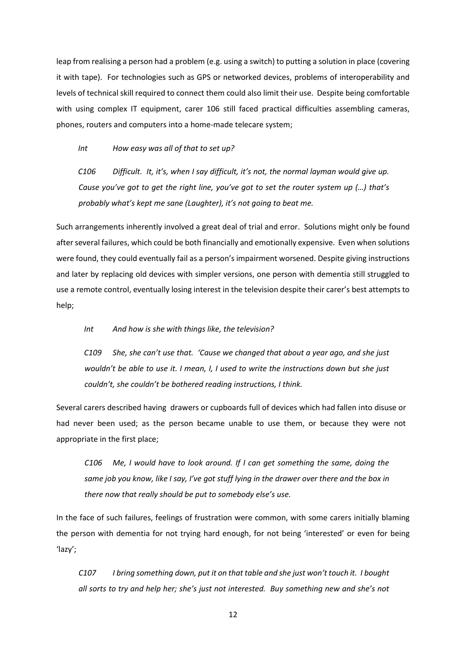leap from realising a person had a problem (e.g. using a switch) to putting a solution in place (covering it with tape). For technologies such as GPS or networked devices, problems of interoperability and levels of technical skill required to connect them could also limit their use. Despite being comfortable with using complex IT equipment, carer 106 still faced practical difficulties assembling cameras, phones, routers and computers into a home-made telecare system;

*Int How easy was all of that to set up?*

*C106 Difficult. It, it's, when I say difficult, it's not, the normal layman would give up. Cause you've got to get the right line, you've got to set the router system up (…) that's probably what's kept me sane (Laughter), it's not going to beat me.* 

Such arrangements inherently involved a great deal of trial and error. Solutions might only be found after several failures, which could be both financially and emotionally expensive. Even when solutions were found, they could eventually fail as a person's impairment worsened. Despite giving instructions and later by replacing old devices with simpler versions, one person with dementia still struggled to use a remote control, eventually losing interest in the television despite their carer's best attempts to help;

*Int And how is she with things like, the television?*

*C109 She, she can't use that. 'Cause we changed that about a year ago, and she just wouldn't be able to use it. I mean, I, I used to write the instructions down but she just couldn't, she couldn't be bothered reading instructions, I think.*

Several carers described having drawers or cupboards full of devices which had fallen into disuse or had never been used; as the person became unable to use them, or because they were not appropriate in the first place;

*C106 Me, I would have to look around. If I can get something the same, doing the same job you know, like I say, I've got stuff lying in the drawer over there and the box in there now that really should be put to somebody else's use.*

In the face of such failures, feelings of frustration were common, with some carers initially blaming the person with dementia for not trying hard enough, for not being 'interested' or even for being 'lazy';

*C107 I bring something down, put it on that table and she just won't touch it. I bought all sorts to try and help her; she's just not interested. Buy something new and she's not*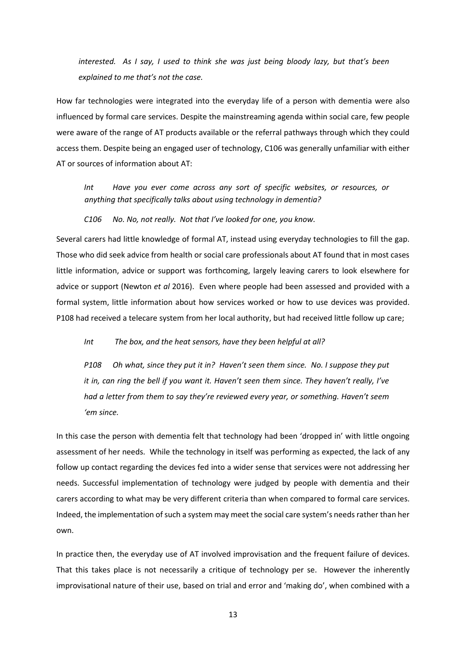*interested. As I say, I used to think she was just being bloody lazy, but that's been explained to me that's not the case.*

How far technologies were integrated into the everyday life of a person with dementia were also influenced by formal care services. Despite the mainstreaming agenda within social care, few people were aware of the range of AT products available or the referral pathways through which they could access them. Despite being an engaged user of technology, C106 was generally unfamiliar with either AT or sources of information about AT:

*Int Have you ever come across any sort of specific websites, or resources, or anything that specifically talks about using technology in dementia?*

*C106 No. No, not really. Not that I've looked for one, you know.*

Several carers had little knowledge of formal AT, instead using everyday technologies to fill the gap. Those who did seek advice from health or social care professionals about AT found that in most cases little information, advice or support was forthcoming, largely leaving carers to look elsewhere for advice or support (Newton *et al* 2016). Even where people had been assessed and provided with a formal system, little information about how services worked or how to use devices was provided. P108 had received a telecare system from her local authority, but had received little follow up care;

*Int The box, and the heat sensors, have they been helpful at all?*

*P108 Oh what, since they put it in? Haven't seen them since. No. I suppose they put it in, can ring the bell if you want it. Haven't seen them since. They haven't really, I've had a letter from them to say they're reviewed every year, or something. Haven't seem 'em since.*

In this case the person with dementia felt that technology had been 'dropped in' with little ongoing assessment of her needs. While the technology in itself was performing as expected, the lack of any follow up contact regarding the devices fed into a wider sense that services were not addressing her needs. Successful implementation of technology were judged by people with dementia and their carers according to what may be very different criteria than when compared to formal care services. Indeed, the implementation of such a system may meet the social care system's needs rather than her own.

In practice then, the everyday use of AT involved improvisation and the frequent failure of devices. That this takes place is not necessarily a critique of technology per se. However the inherently improvisational nature of their use, based on trial and error and 'making do', when combined with a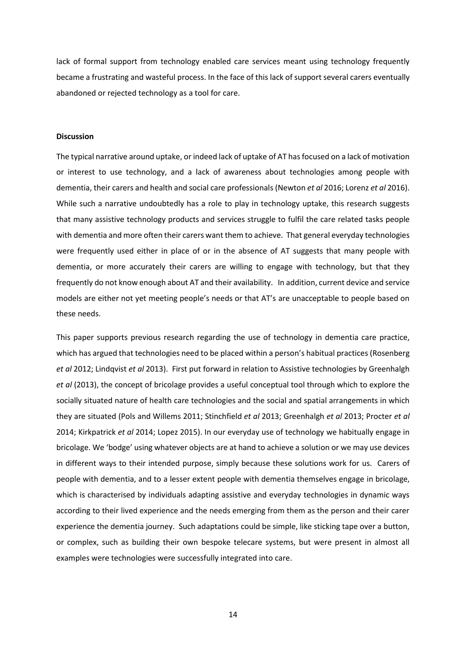lack of formal support from technology enabled care services meant using technology frequently became a frustrating and wasteful process. In the face of this lack of support several carers eventually abandoned or rejected technology as a tool for care.

## **Discussion**

The typical narrative around uptake, or indeed lack of uptake of AT has focused on a lack of motivation or interest to use technology, and a lack of awareness about technologies among people with dementia, their carers and health and social care professionals (Newton *et al* 2016; Lorenz *et al* 2016). While such a narrative undoubtedly has a role to play in technology uptake, this research suggests that many assistive technology products and services struggle to fulfil the care related tasks people with dementia and more often their carers want them to achieve. That general everyday technologies were frequently used either in place of or in the absence of AT suggests that many people with dementia, or more accurately their carers are willing to engage with technology, but that they frequently do not know enough about AT and their availability. In addition, current device and service models are either not yet meeting people's needs or that AT's are unacceptable to people based on these needs.

This paper supports previous research regarding the use of technology in dementia care practice, which has argued that technologies need to be placed within a person's habitual practices (Rosenberg *et al* 2012; Lindqvist *et al* 2013). First put forward in relation to Assistive technologies by Greenhalgh *et al* (2013), the concept of bricolage provides a useful conceptual tool through which to explore the socially situated nature of health care technologies and the social and spatial arrangements in which they are situated (Pols and Willems 2011; Stinchfield *et al* 2013; Greenhalgh *et al* 2013; Procter *et al* 2014; Kirkpatrick *et al* 2014; Lopez 2015). In our everyday use of technology we habitually engage in bricolage. We 'bodge' using whatever objects are at hand to achieve a solution or we may use devices in different ways to their intended purpose, simply because these solutions work for us. Carers of people with dementia, and to a lesser extent people with dementia themselves engage in bricolage, which is characterised by individuals adapting assistive and everyday technologies in dynamic ways according to their lived experience and the needs emerging from them as the person and their carer experience the dementia journey. Such adaptations could be simple, like sticking tape over a button, or complex, such as building their own bespoke telecare systems, but were present in almost all examples were technologies were successfully integrated into care.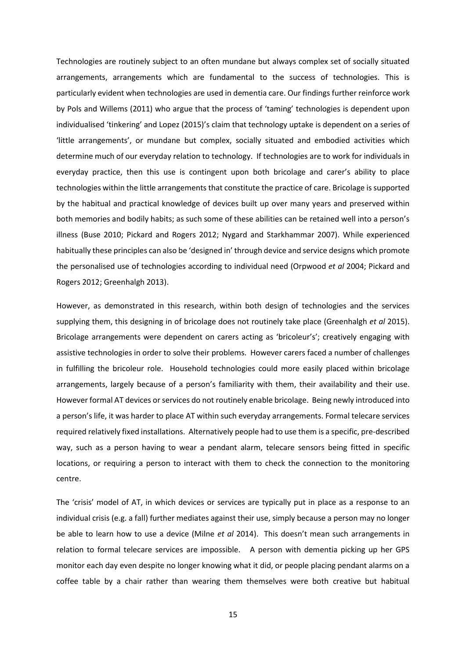Technologies are routinely subject to an often mundane but always complex set of socially situated arrangements, arrangements which are fundamental to the success of technologies. This is particularly evident when technologies are used in dementia care. Our findings further reinforce work by Pols and Willems (2011) who argue that the process of 'taming' technologies is dependent upon individualised 'tinkering' and Lopez (2015)'s claim that technology uptake is dependent on a series of 'little arrangements', or mundane but complex, socially situated and embodied activities which determine much of our everyday relation to technology. If technologies are to work for individuals in everyday practice, then this use is contingent upon both bricolage and carer's ability to place technologies within the little arrangements that constitute the practice of care. Bricolage is supported by the habitual and practical knowledge of devices built up over many years and preserved within both memories and bodily habits; as such some of these abilities can be retained well into a person's illness (Buse 2010; Pickard and Rogers 2012; Nygard and Starkhammar 2007). While experienced habitually these principles can also be 'designed in' through device and service designs which promote the personalised use of technologies according to individual need (Orpwood *et al* 2004; Pickard and Rogers 2012; Greenhalgh 2013).

However, as demonstrated in this research, within both design of technologies and the services supplying them, this designing in of bricolage does not routinely take place (Greenhalgh *et al* 2015). Bricolage arrangements were dependent on carers acting as 'bricoleur's'; creatively engaging with assistive technologies in order to solve their problems. However carers faced a number of challenges in fulfilling the bricoleur role. Household technologies could more easily placed within bricolage arrangements, largely because of a person's familiarity with them, their availability and their use. However formal AT devices or services do not routinely enable bricolage. Being newly introduced into a person's life, it was harder to place AT within such everyday arrangements. Formal telecare services required relatively fixed installations. Alternatively people had to use them is a specific, pre-described way, such as a person having to wear a pendant alarm, telecare sensors being fitted in specific locations, or requiring a person to interact with them to check the connection to the monitoring centre.

The 'crisis' model of AT, in which devices or services are typically put in place as a response to an individual crisis (e.g. a fall) further mediates against their use, simply because a person may no longer be able to learn how to use a device (Milne *et al* 2014). This doesn't mean such arrangements in relation to formal telecare services are impossible. A person with dementia picking up her GPS monitor each day even despite no longer knowing what it did, or people placing pendant alarms on a coffee table by a chair rather than wearing them themselves were both creative but habitual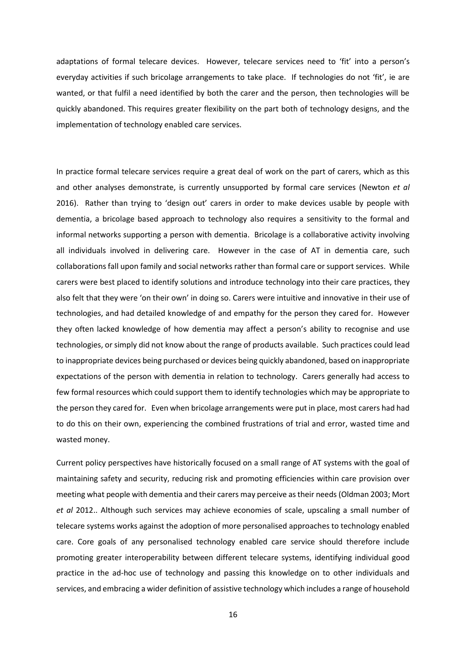adaptations of formal telecare devices. However, telecare services need to 'fit' into a person's everyday activities if such bricolage arrangements to take place. If technologies do not 'fit', ie are wanted, or that fulfil a need identified by both the carer and the person, then technologies will be quickly abandoned. This requires greater flexibility on the part both of technology designs, and the implementation of technology enabled care services.

In practice formal telecare services require a great deal of work on the part of carers, which as this and other analyses demonstrate, is currently unsupported by formal care services (Newton *et al*  2016). Rather than trying to 'design out' carers in order to make devices usable by people with dementia, a bricolage based approach to technology also requires a sensitivity to the formal and informal networks supporting a person with dementia. Bricolage is a collaborative activity involving all individuals involved in delivering care. However in the case of AT in dementia care, such collaborations fall upon family and social networks rather than formal care or support services. While carers were best placed to identify solutions and introduce technology into their care practices, they also felt that they were 'on their own' in doing so. Carers were intuitive and innovative in their use of technologies, and had detailed knowledge of and empathy for the person they cared for. However they often lacked knowledge of how dementia may affect a person's ability to recognise and use technologies, or simply did not know about the range of products available. Such practices could lead to inappropriate devices being purchased or devices being quickly abandoned, based on inappropriate expectations of the person with dementia in relation to technology. Carers generally had access to few formal resources which could support them to identify technologies which may be appropriate to the person they cared for. Even when bricolage arrangements were put in place, most carers had had to do this on their own, experiencing the combined frustrations of trial and error, wasted time and wasted money.

Current policy perspectives have historically focused on a small range of AT systems with the goal of maintaining safety and security, reducing risk and promoting efficiencies within care provision over meeting what people with dementia and their carers may perceive as their needs (Oldman 2003; Mort *et al* 2012.. Although such services may achieve economies of scale, upscaling a small number of telecare systems works against the adoption of more personalised approaches to technology enabled care. Core goals of any personalised technology enabled care service should therefore include promoting greater interoperability between different telecare systems, identifying individual good practice in the ad-hoc use of technology and passing this knowledge on to other individuals and services, and embracing a wider definition of assistive technology which includes a range of household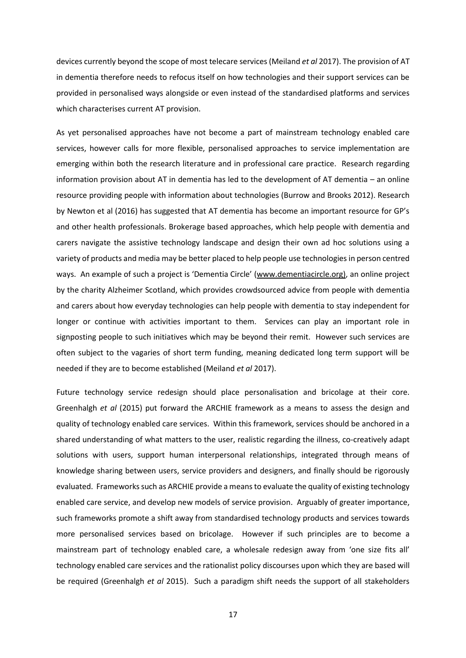devices currently beyond the scope of most telecare services (Meiland *et al* 2017). The provision of AT in dementia therefore needs to refocus itself on how technologies and their support services can be provided in personalised ways alongside or even instead of the standardised platforms and services which characterises current AT provision.

As yet personalised approaches have not become a part of mainstream technology enabled care services, however calls for more flexible, personalised approaches to service implementation are emerging within both the research literature and in professional care practice. Research regarding information provision about AT in dementia has led to the development of AT dementia – an online resource providing people with information about technologies (Burrow and Brooks 2012). Research by Newton et al (2016) has suggested that AT dementia has become an important resource for GP's and other health professionals. Brokerage based approaches, which help people with dementia and carers navigate the assistive technology landscape and design their own ad hoc solutions using a variety of products and media may be better placed to help people use technologies in person centred ways. An example of such a project is 'Dementia Circle' ([www.dementiacircle.org\),](http://www.dementiacircle.org)/) an online project by the charity Alzheimer Scotland, which provides crowdsourced advice from people with dementia and carers about how everyday technologies can help people with dementia to stay independent for longer or continue with activities important to them. Services can play an important role in signposting people to such initiatives which may be beyond their remit. However such services are often subject to the vagaries of short term funding, meaning dedicated long term support will be needed if they are to become established (Meiland *et al* 2017).

Future technology service redesign should place personalisation and bricolage at their core. Greenhalgh *et al* (2015) put forward the ARCHIE framework as a means to assess the design and quality of technology enabled care services. Within this framework, services should be anchored in a shared understanding of what matters to the user, realistic regarding the illness, co-creatively adapt solutions with users, support human interpersonal relationships, integrated through means of knowledge sharing between users, service providers and designers, and finally should be rigorously evaluated. Frameworks such as ARCHIE provide a means to evaluate the quality of existing technology enabled care service, and develop new models of service provision. Arguably of greater importance, such frameworks promote a shift away from standardised technology products and services towards more personalised services based on bricolage. However if such principles are to become a mainstream part of technology enabled care, a wholesale redesign away from 'one size fits all' technology enabled care services and the rationalist policy discourses upon which they are based will be required (Greenhalgh *et al* 2015). Such a paradigm shift needs the support of all stakeholders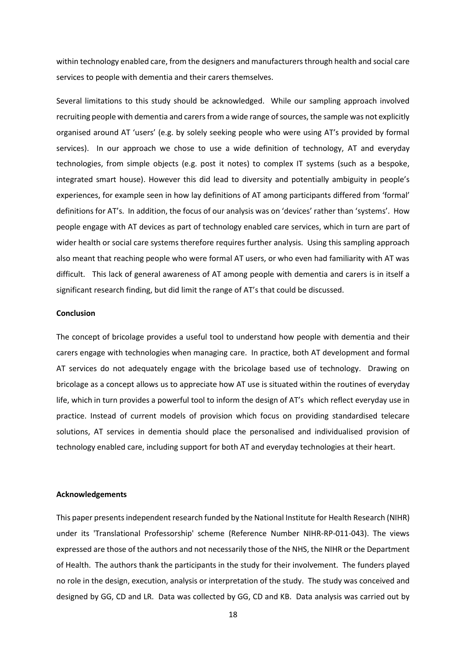within technology enabled care, from the designers and manufacturers through health and social care services to people with dementia and their carers themselves.

Several limitations to this study should be acknowledged. While our sampling approach involved recruiting people with dementia and carers from a wide range of sources, the sample was not explicitly organised around AT 'users' (e.g. by solely seeking people who were using AT's provided by formal services). In our approach we chose to use a wide definition of technology, AT and everyday technologies, from simple objects (e.g. post it notes) to complex IT systems (such as a bespoke, integrated smart house). However this did lead to diversity and potentially ambiguity in people's experiences, for example seen in how lay definitions of AT among participants differed from 'formal' definitions for AT's. In addition, the focus of our analysis was on 'devices' rather than 'systems'. How people engage with AT devices as part of technology enabled care services, which in turn are part of wider health or social care systems therefore requires further analysis. Using this sampling approach also meant that reaching people who were formal AT users, or who even had familiarity with AT was difficult. This lack of general awareness of AT among people with dementia and carers is in itself a significant research finding, but did limit the range of AT's that could be discussed.

## **Conclusion**

The concept of bricolage provides a useful tool to understand how people with dementia and their carers engage with technologies when managing care. In practice, both AT development and formal AT services do not adequately engage with the bricolage based use of technology. Drawing on bricolage as a concept allows us to appreciate how AT use is situated within the routines of everyday life, which in turn provides a powerful tool to inform the design of AT's which reflect everyday use in practice. Instead of current models of provision which focus on providing standardised telecare solutions, AT services in dementia should place the personalised and individualised provision of technology enabled care, including support for both AT and everyday technologies at their heart.

## **Acknowledgements**

This paper presents independent research funded by the National Institute for Health Research (NIHR) under its 'Translational Professorship' scheme (Reference Number NIHR-RP-011-043). The views expressed are those of the authors and not necessarily those of the NHS, the NIHR or the Department of Health. The authors thank the participants in the study for their involvement. The funders played no role in the design, execution, analysis or interpretation of the study. The study was conceived and designed by GG, CD and LR. Data was collected by GG, CD and KB. Data analysis was carried out by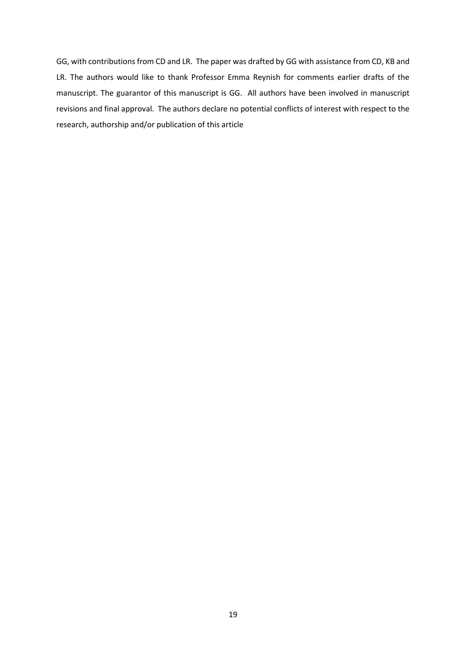GG, with contributions from CD and LR. The paper was drafted by GG with assistance from CD, KB and LR. The authors would like to thank Professor Emma Reynish for comments earlier drafts of the manuscript. The guarantor of this manuscript is GG. All authors have been involved in manuscript revisions and final approval. The authors declare no potential conflicts of interest with respect to the research, authorship and/or publication of this article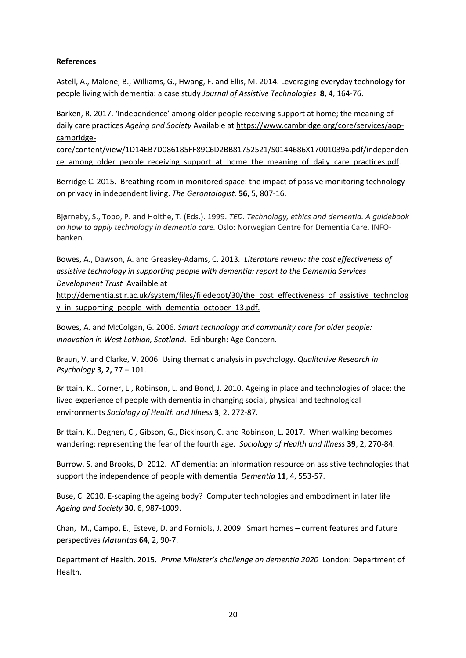# **References**

Astell, A., Malone, B., Williams, G., Hwang, F. and Ellis, M. 2014. Leveraging everyday technology for people living with dementia: a case study *Journal of Assistive Technologies* **8**, 4, 164-76.

Barken, R. 2017. 'Independence' among older people receiving support at home; the meaning of daily care practices *Ageing and Society* Available a[t https://www.cambridge.org/core/services/aop](https://www.cambridge.org/core/services/aop-cambridge-core/content/view/1D14EB7D086185FF89C6D2BB81752521/S0144686X17001039a.pdf/independence_among_older_people_receiving_support_at_home_the_meaning_of_daily_care_practices.pdf)[cambridge-](https://www.cambridge.org/core/services/aop-cambridge-core/content/view/1D14EB7D086185FF89C6D2BB81752521/S0144686X17001039a.pdf/independence_among_older_people_receiving_support_at_home_the_meaning_of_daily_care_practices.pdf)

[core/content/view/1D14EB7D086185FF89C6D2BB81752521/S0144686X17001039a.pdf/independen](https://www.cambridge.org/core/services/aop-cambridge-core/content/view/1D14EB7D086185FF89C6D2BB81752521/S0144686X17001039a.pdf/independence_among_older_people_receiving_support_at_home_the_meaning_of_daily_care_practices.pdf) ce among older people receiving support at home the meaning of daily care practices.pdf.

Berridge C. 2015. Breathing room in monitored space: the impact of passive monitoring technology on privacy in independent living. *The Gerontologist.* **56**, 5, 807-16.

Bjørneby, S., Topo, P. and Holthe, T. (Eds.). 1999. *TED. Technology, ethics and dementia. A guidebook on how to apply technology in dementia care.* Oslo: Norwegian Centre for Dementia Care, INFObanken.

Bowes, A., Dawson, A. and Greasley-Adams, C. 2013*. Literature review: the cost effectiveness of assistive technology in supporting people with dementia: report to the Dementia Services Development Trust* Available at

http://dementia.stir.ac.uk/system/files/filedepot/30/the cost effectiveness of assistive technolog [y\\_in\\_supporting\\_people\\_with\\_dementia\\_october\\_13.pdf.](http://dementia.stir.ac.uk/system/files/filedepot/30/the_cost_effectiveness_of_assistive_technology_in_supporting_people_with_dementia_october_13.pdf)

Bowes, A. and McColgan, G. 2006. *Smart technology and community care for older people: innovation in West Lothian, Scotland*. Edinburgh: Age Concern.

Braun, V. and Clarke, V. 2006. Using thematic analysis in psychology. *Qualitative Research in Psychology* **3, 2,** 77 – 101.

Brittain, K., Corner, L., Robinson, L. and Bond, J. 2010. Ageing in place and technologies of place: the lived experience of people with dementia in changing social, physical and technological environments *Sociology of Health and Illness* **3**, 2, 272-87.

Brittain, K., Degnen, C., Gibson, G., Dickinson, C. and Robinson, L. 2017. When walking becomes wandering: representing the fear of the fourth age. *Sociology of Health and Illness* **39**, 2, 270-84.

Burrow, S. and Brooks, D. 2012. AT dementia: an information resource on assistive technologies that support the independence of people with dementia *Dementia* **11**, 4, 553-57.

Buse, C. 2010. E-scaping the ageing body? Computer technologies and embodiment in later life *Ageing and Society* **30**, 6, 987-1009.

Chan, M., Campo, E., Esteve, D. and Forniols, J. 2009. Smart homes – current features and future perspectives *Maturitas* **64**, 2, 90-7.

Department of Health. 2015. *Prime Minister's challenge on dementia 2020* London: Department of Health.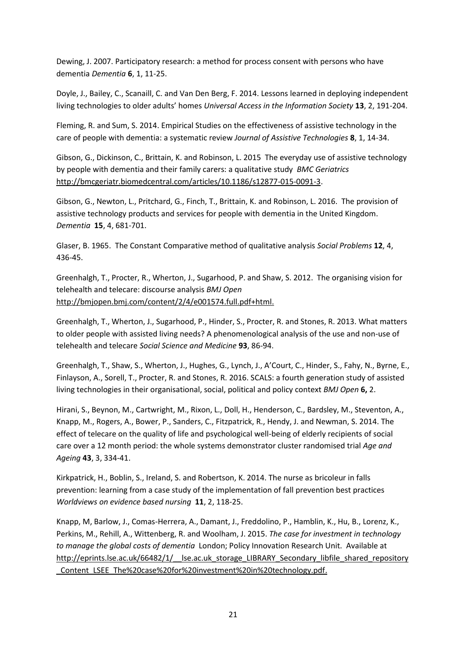Dewing, J. 2007. Participatory research: a method for process consent with persons who have dementia *Dementia* **6**, 1, 11-25.

Doyle, J., Bailey, C., Scanaill, C. and Van Den Berg, F. 2014. Lessons learned in deploying independent living technologies to older adults' homes *Universal Access in the Information Society* **13**, 2, 191-204.

Fleming, R. and Sum, S. 2014. Empirical Studies on the effectiveness of assistive technology in the care of people with dementia: a systematic review *Journal of Assistive Technologies* **8**, 1, 14-34.

Gibson, G., Dickinson, C., Brittain, K. and Robinson, L. 2015 The everyday use of assistive technology by people with dementia and their family carers: a qualitative study *BMC Geriatrics*  [http://bmcgeriatr.biomedcentral.com/articles/10.1186/s12877-015-0091-3.](http://bmcgeriatr.biomedcentral.com/articles/10.1186/s12877-015-0091-3)

Gibson, G., Newton, L., Pritchard, G., Finch, T., Brittain, K. and Robinson, L. 2016. The provision of assistive technology products and services for people with dementia in the United Kingdom. *Dementia* **15**, 4, 681-701.

Glaser, B. 1965. The Constant Comparative method of qualitative analysis *Social Problems* **12**, 4, 436-45.

Greenhalgh, T., Procter, R., Wherton, J., Sugarhood, P. and Shaw, S. 2012. The organising vision for telehealth and telecare: discourse analysis *BMJ Open* [http://bmjopen.bmj.com/content/2/4/e001574.full.pdf+html.](http://bmjopen.bmj.com/content/2/4/e001574.full.pdf+html)

Greenhalgh, T., Wherton, J., Sugarhood, P., Hinder, S., Procter, R. and Stones, R. 2013. What matters to older people with assisted living needs? A phenomenological analysis of the use and non-use of telehealth and telecare *Social Science and Medicine* **93**, 86-94.

Greenhalgh, T., Shaw, S., Wherton, J., Hughes, G., Lynch, J., A'Court, C., Hinder, S., Fahy, N., Byrne, E., Finlayson, A., Sorell, T., Procter, R. and Stones, R. 2016. SCALS: a fourth generation study of assisted living technologies in their organisational, social, political and policy context *BMJ Open* **6,** 2.

Hirani, S., Beynon, M., Cartwright, M., Rixon, L., Doll, H., Henderson, C., Bardsley, M., Steventon, A., Knapp, M., Rogers, A., Bower, P., Sanders, C., Fitzpatrick, R., Hendy, J. and Newman, S. 2014. The effect of telecare on the quality of life and psychological well-being of elderly recipients of social care over a 12 month period: the whole systems demonstrator cluster randomised trial *Age and Ageing* **43**, 3, 334-41.

Kirkpatrick, H., Boblin, S., Ireland, S. and Robertson, K. 2014. The nurse as bricoleur in falls prevention: learning from a case study of the implementation of fall prevention best practices *Worldviews on evidence based nursing* **11**, 2, 118-25.

Knapp, M, Barlow, J., Comas-Herrera, A., Damant, J., Freddolino, P., Hamblin, K., Hu, B., Lorenz, K., Perkins, M., Rehill, A., Wittenberg, R. and Woolham, J. 2015. *The case for investment in technology to manage the global costs of dementia* London; Policy Innovation Research Unit. Available at http://eprints.lse.ac.uk/66482/1/ lse.ac.uk\_storage\_LIBRARY\_Secondary\_libfile\_shared\_repository [\\_Content\\_LSEE\\_The%20case%20for%20investment%20in%20technology.pdf.](http://eprints.lse.ac.uk/66482/1/__lse.ac.uk_storage_LIBRARY_Secondary_libfile_shared_repository_Content_LSEE_The%20case%20for%20investment%20in%20technology.pdf)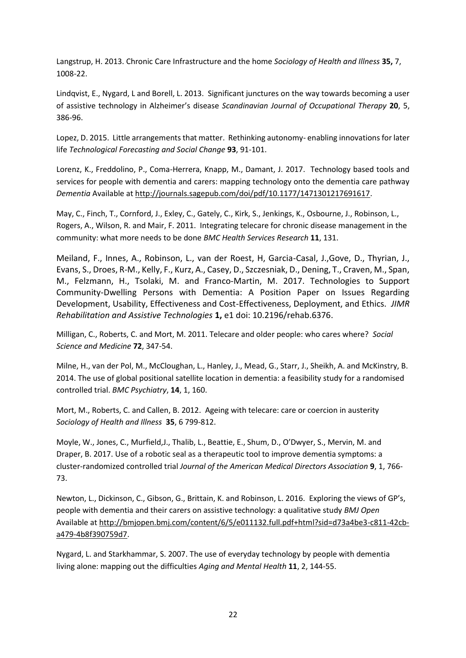Langstrup, H. 2013. Chronic Care Infrastructure and the home *Sociology of Health and Illness* **35,** 7, 1008-22.

Lindqvist, E., Nygard, L and Borell, L. 2013. Significant junctures on the way towards becoming a user of assistive technology in Alzheimer's disease *Scandinavian Journal of Occupational Therapy* **20**, 5, 386-96.

Lopez, D. 2015. Little arrangements that matter. Rethinking autonomy- enabling innovations for later life *Technological Forecasting and Social Change* **93**, 91-101.

Lorenz, K., Freddolino, P., Coma-Herrera, Knapp, M., Damant, J. 2017. Technology based tools and services for people with dementia and carers: mapping technology onto the dementia care pathway *Dementia* Available a[t http://journals.sagepub.com/doi/pdf/10.1177/1471301217691617.](http://journals.sagepub.com/doi/pdf/10.1177/1471301217691617)

May, C., Finch, T., Cornford, J., Exley, C., Gately, C., Kirk, S., Jenkings, K., Osbourne, J., Robinson, L., Rogers, A., Wilson, R. and Mair, F. 2011. Integrating telecare for chronic disease management in the community: what more needs to be done *BMC Health Services Research* **11**, 131.

Meiland, F., Innes, A., Robinson, L., van der Roest, H, Garcia-Casal, J.,Gove, D., Thyrian, J., Evans, S., Droes, R-M., Kelly, F., Kurz, A., Casey, D., Szczesniak, D., Dening, T., Craven, M., Span, M., Felzmann, H., Tsolaki, M. and Franco-Martin, M. 2017. Technologies to Support Community-Dwelling Persons with Dementia: A Position Paper on Issues Regarding Development, Usability, Effectiveness and Cost-Effectiveness, Deployment, and Ethics. *JIMR Rehabilitation and Assistive Technologies* **1,** e1 doi: 10.2196/rehab.6376.

Milligan, C., Roberts, C. and Mort, M. 2011. Telecare and older people: who cares where? *Social Science and Medicine* **72**, 347-54.

Milne, H., van der Pol, M., McCloughan, L., Hanley, J., Mead, G., Starr, J., Sheikh, A. and McKinstry, B. 2014. The use of global positional satellite location in dementia: a feasibility study for a randomised controlled trial. *BMC Psychiatry*, **14**, 1, 160.

Mort, M., Roberts, C. and Callen, B. 2012. Ageing with telecare: care or coercion in austerity *Sociology of Health and Illness* **35**, 6 799-812.

Moyle, W., Jones, C., Murfield,J., Thalib, L., Beattie, E., Shum, D., O'Dwyer, S., Mervin, M. and Draper, B. 2017. Use of a robotic seal as a therapeutic tool to improve dementia symptoms: a cluster-randomized controlled trial *Journal of the American Medical Directors Association* **9**, 1, 766- 73.

Newton, L., Dickinson, C., Gibson, G., Brittain, K. and Robinson, L. 2016. Exploring the views of GP's, people with dementia and their carers on assistive technology: a qualitative study *BMJ Open*  Available a[t http://bmjopen.bmj.com/content/6/5/e011132.full.pdf+html?sid=d73a4be3-c811-42cb](http://bmjopen.bmj.com/content/6/5/e011132.full.pdf+html?sid=d73a4be3-c811-42cb-a479-4b8f390759d7)[a479-4b8f390759d7.](http://bmjopen.bmj.com/content/6/5/e011132.full.pdf+html?sid=d73a4be3-c811-42cb-a479-4b8f390759d7)

Nygard, L. and Starkhammar, S. 2007. The use of everyday technology by people with dementia living alone: mapping out the difficulties *Aging and Mental Health* **11**, 2, 144-55.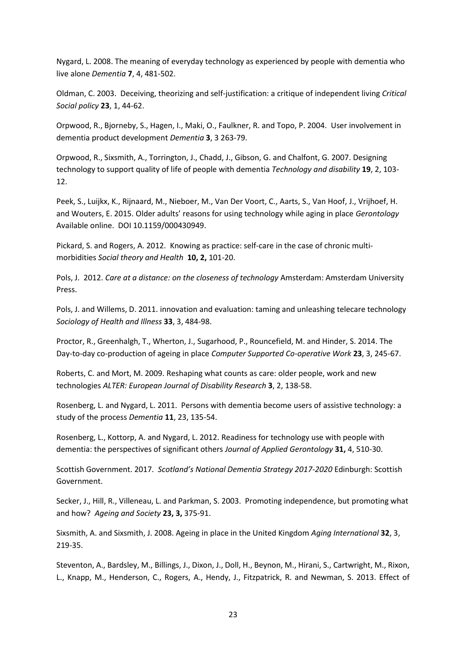Nygard, L. 2008. The meaning of everyday technology as experienced by people with dementia who live alone *Dementia* **7**, 4, 481-502.

Oldman, C. 2003. Deceiving, theorizing and self-justification: a critique of independent living *Critical Social policy* **23**, 1, 44-62.

Orpwood, R., Bjorneby, S., Hagen, I., Maki, O., Faulkner, R. and Topo, P. 2004. User involvement in dementia product development *Dementia* **3**, 3 263-79.

Orpwood, R., Sixsmith, A., Torrington, J., Chadd, J., Gibson, G. and Chalfont, G. 2007. Designing technology to support quality of life of people with dementia *Technology and disability* **19**, 2, 103- 12.

Peek, S., Luijkx, K., Rijnaard, M., Nieboer, M., Van Der Voort, C., Aarts, S., Van Hoof, J., Vrijhoef, H. and Wouters, E. 2015. Older adults' reasons for using technology while aging in place *Gerontology* Available online. DOI 10.1159/000430949.

Pickard, S. and Rogers, A. 2012. Knowing as practice: self-care in the case of chronic multimorbidities *Social theory and Health* **10, 2,** 101-20.

Pols, J. 2012. *Care at a distance: on the closeness of technology* Amsterdam: Amsterdam University Press.

Pols, J. and Willems, D. 2011. innovation and evaluation: taming and unleashing telecare technology *Sociology of Health and Illness* **33**, 3, 484-98.

Proctor, R., Greenhalgh, T., Wherton, J., Sugarhood, P., Rouncefield, M. and Hinder, S. 2014. The Day-to-day co-production of ageing in place *Computer Supported Co-operative Work* **23**, 3, 245-67.

Roberts, C. and Mort, M. 2009. Reshaping what counts as care: older people, work and new technologies *ALTER: European Journal of Disability Research* **3**, 2, 138-58.

Rosenberg, L. and Nygard, L. 2011. Persons with dementia become users of assistive technology: a study of the process *Dementia* **11**, 23, 135-54.

Rosenberg, L., Kottorp, A. and Nygard, L. 2012. Readiness for technology use with people with dementia: the perspectives of significant others *Journal of Applied Gerontology* **31,** 4, 510-30.

Scottish Government. 2017. *Scotland's National Dementia Strategy 2017-2020* Edinburgh: Scottish Government.

Secker, J., Hill, R., Villeneau, L. and Parkman, S. 2003. Promoting independence, but promoting what and how? *Ageing and Society* **23, 3,** 375-91.

Sixsmith, A. and Sixsmith, J. 2008. Ageing in place in the United Kingdom *Aging International* **32**, 3, 219-35.

Steventon, A., Bardsley, M., Billings, J., Dixon, J., Doll, H., Beynon, M., Hirani, S., Cartwright, M., Rixon, L., Knapp, M., Henderson, C., Rogers, A., Hendy, J., Fitzpatrick, R. and Newman, S. 2013. Effect of